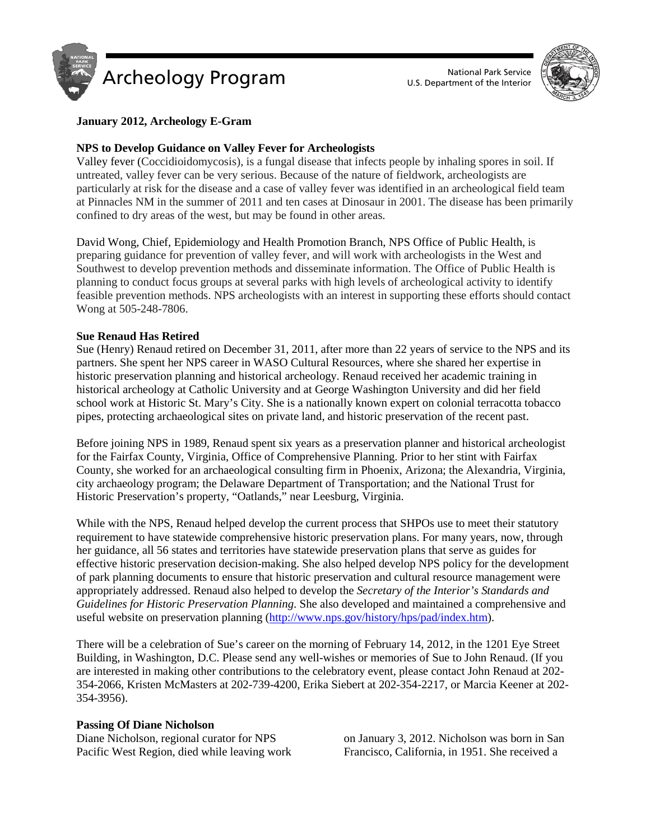



# **January 2012, Archeology E-Gram**

# **NPS to Develop Guidance on Valley Fever for Archeologists**

Valley fever (Coccidioidomycosis), is a fungal disease that infects people by inhaling spores in soil. If untreated, valley fever can be very serious. Because of the nature of fieldwork, archeologists are particularly at risk for the disease and a case of valley fever was identified in an archeological field team at Pinnacles NM in the summer of 2011 and ten cases at Dinosaur in 2001. The disease has been primarily confined to dry areas of the west, but may be found in other areas.

David Wong, Chief, Epidemiology and Health Promotion Branch, NPS Office of Public Health, is preparing guidance for prevention of valley fever, and will work with archeologists in the West and Southwest to develop prevention methods and disseminate information. The Office of Public Health is planning to conduct focus groups at several parks with high levels of archeological activity to identify feasible prevention methods. NPS archeologists with an interest in supporting these efforts should contact Wong at 505-248-7806.

# **Sue Renaud Has Retired**

Sue (Henry) Renaud retired on December 31, 2011, after more than 22 years of service to the NPS and its partners. She spent her NPS career in WASO Cultural Resources, where she shared her expertise in historic preservation planning and historical archeology. Renaud received her academic training in historical archeology at Catholic University and at George Washington University and did her field school work at Historic St. Mary's City. She is a nationally known expert on colonial terracotta tobacco pipes, protecting archaeological sites on private land, and historic preservation of the recent past.

Before joining NPS in 1989, Renaud spent six years as a preservation planner and historical archeologist for the Fairfax County, Virginia, Office of Comprehensive Planning. Prior to her stint with Fairfax County, she worked for an archaeological consulting firm in Phoenix, Arizona; the Alexandria, Virginia, city archaeology program; the Delaware Department of Transportation; and the National Trust for Historic Preservation's property, "Oatlands," near Leesburg, Virginia.

While with the NPS, Renaud helped develop the current process that SHPOs use to meet their statutory requirement to have statewide comprehensive historic preservation plans. For many years, now, through her guidance, all 56 states and territories have statewide preservation plans that serve as guides for effective historic preservation decision-making. She also helped develop NPS policy for the development of park planning documents to ensure that historic preservation and cultural resource management were appropriately addressed. Renaud also helped to develop the *Secretary of the Interior's Standards and Guidelines for Historic Preservation Planning*. She also developed and maintained a comprehensive and useful website on preservation planning [\(http://www.nps.gov/history/hps/pad/index.htm\)](http://www.nps.gov/history/hps/pad/index.htm).

There will be a celebration of Sue's career on the morning of February 14, 2012, in the 1201 Eye Street Building, in Washington, D.C. Please send any well-wishes or memories of Sue to John Renaud. (If you are interested in making other contributions to the celebratory event, please contact John Renaud at 202- 354-2066, Kristen McMasters at 202-739-4200, Erika Siebert at 202-354-2217, or Marcia Keener at 202- 354-3956).

### **Passing Of Diane Nicholson**

Diane Nicholson, regional curator for NPS Pacific West Region, died while leaving work

on January 3, 2012. Nicholson was born in San Francisco, California, in 1951. She received a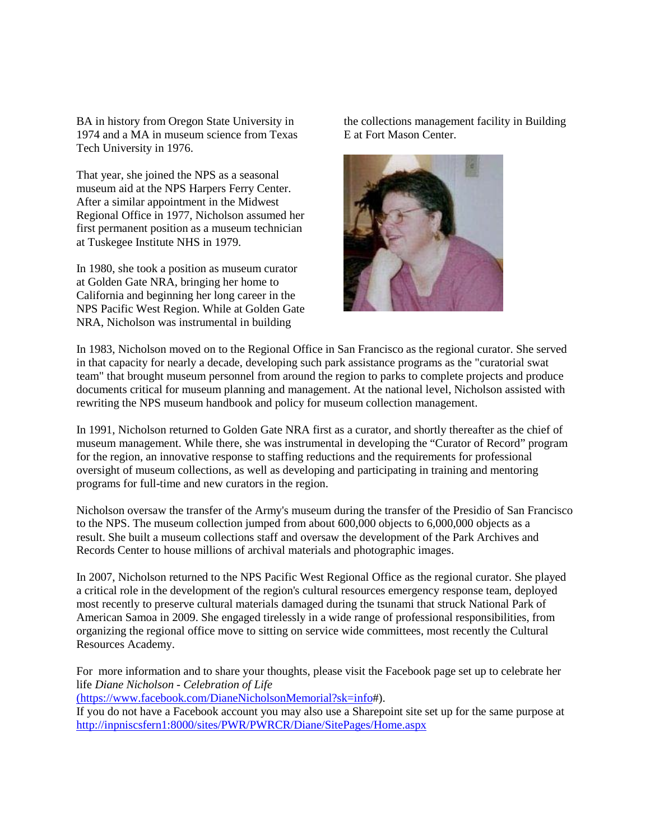BA in history from Oregon State University in 1974 and a MA in museum science from Texas Tech University in 1976.

That year, she joined the NPS as a seasonal museum aid at the NPS Harpers Ferry Center. After a similar appointment in the Midwest Regional Office in 1977, Nicholson assumed her first permanent position as a museum technician at Tuskegee Institute NHS in 1979.

In 1980, she took a position as museum curator at Golden Gate NRA, bringing her home to California and beginning her long career in the NPS Pacific West Region. While at Golden Gate NRA, Nicholson was instrumental in building

the collections management facility in Building E at Fort Mason Center.



In 1983, Nicholson moved on to the Regional Office in San Francisco as the regional curator. She served in that capacity for nearly a decade, developing such park assistance programs as the "curatorial swat team" that brought museum personnel from around the region to parks to complete projects and produce documents critical for museum planning and management. At the national level, Nicholson assisted with rewriting the NPS museum handbook and policy for museum collection management.

In 1991, Nicholson returned to Golden Gate NRA first as a curator, and shortly thereafter as the chief of museum management. While there, she was instrumental in developing the "Curator of Record" program for the region, an innovative response to staffing reductions and the requirements for professional oversight of museum collections, as well as developing and participating in training and mentoring programs for full-time and new curators in the region.

Nicholson oversaw the transfer of the Army's museum during the transfer of the Presidio of San Francisco to the NPS. The museum collection jumped from about 600,000 objects to 6,000,000 objects as a result. She built a museum collections staff and oversaw the development of the Park Archives and Records Center to house millions of archival materials and photographic images.

In 2007, Nicholson returned to the NPS Pacific West Regional Office as the regional curator. She played a critical role in the development of the region's cultural resources emergency response team, deployed most recently to preserve cultural materials damaged during the tsunami that struck National Park of American Samoa in 2009. She engaged tirelessly in a wide range of professional responsibilities, from organizing the regional office move to sitting on service wide committees, most recently the Cultural Resources Academy.

For more information and to share your thoughts, please visit the Facebook page set up to celebrate her life *Diane Nicholson - Celebration of Life* 

[\(https://www.facebook.com/DianeNicholsonMemorial?sk=info#](https://www.facebook.com/DianeNicholsonMemorial?sk=info)).

If you do not have a Facebook account you may also use a Sharepoint site set up for the same purpose at <http://inpniscsfern1:8000/sites/PWR/PWRCR/Diane/SitePages/Home.aspx>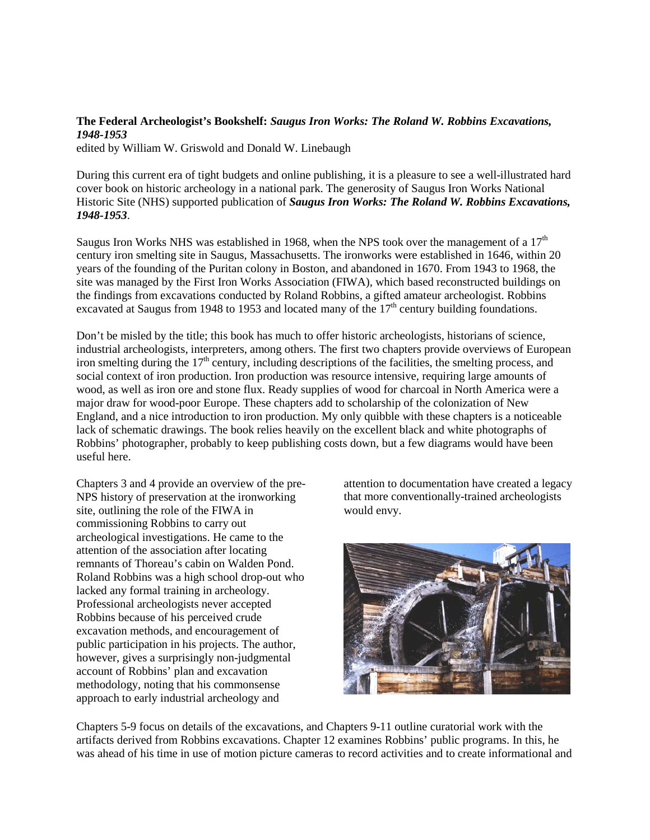## **The Federal Archeologist's Bookshelf:** *Saugus Iron Works: The Roland W. Robbins Excavations, 1948-1953*

edited by William W. Griswold and Donald W. Linebaugh

During this current era of tight budgets and online publishing, it is a pleasure to see a well-illustrated hard cover book on historic archeology in a national park. The generosity of Saugus Iron Works National Historic Site (NHS) supported publication of *Saugus Iron Works: The Roland W. Robbins Excavations, 1948-1953*.

Saugus Iron Works NHS was established in 1968, when the NPS took over the management of a  $17<sup>th</sup>$ century iron smelting site in Saugus, Massachusetts. The ironworks were established in 1646, within 20 years of the founding of the Puritan colony in Boston, and abandoned in 1670. From 1943 to 1968, the site was managed by the First Iron Works Association (FIWA), which based reconstructed buildings on the findings from excavations conducted by Roland Robbins, a gifted amateur archeologist. Robbins excavated at Saugus from 1948 to 1953 and located many of the  $17<sup>th</sup>$  century building foundations.

Don't be misled by the title; this book has much to offer historic archeologists, historians of science, industrial archeologists, interpreters, among others. The first two chapters provide overviews of European iron smelting during the  $17<sup>th</sup>$  century, including descriptions of the facilities, the smelting process, and social context of iron production. Iron production was resource intensive, requiring large amounts of wood, as well as iron ore and stone flux. Ready supplies of wood for charcoal in North America were a major draw for wood-poor Europe. These chapters add to scholarship of the colonization of New England, and a nice introduction to iron production. My only quibble with these chapters is a noticeable lack of schematic drawings. The book relies heavily on the excellent black and white photographs of Robbins' photographer, probably to keep publishing costs down, but a few diagrams would have been useful here.

Chapters 3 and 4 provide an overview of the pre-NPS history of preservation at the ironworking site, outlining the role of the FIWA in commissioning Robbins to carry out archeological investigations. He came to the attention of the association after locating remnants of Thoreau's cabin on Walden Pond. Roland Robbins was a high school drop-out who lacked any formal training in archeology. Professional archeologists never accepted Robbins because of his perceived crude excavation methods, and encouragement of public participation in his projects. The author, however, gives a surprisingly non-judgmental account of Robbins' plan and excavation methodology, noting that his commonsense approach to early industrial archeology and

attention to documentation have created a legacy that more conventionally-trained archeologists would envy.



Chapters 5-9 focus on details of the excavations, and Chapters 9-11 outline curatorial work with the artifacts derived from Robbins excavations. Chapter 12 examines Robbins' public programs. In this, he was ahead of his time in use of motion picture cameras to record activities and to create informational and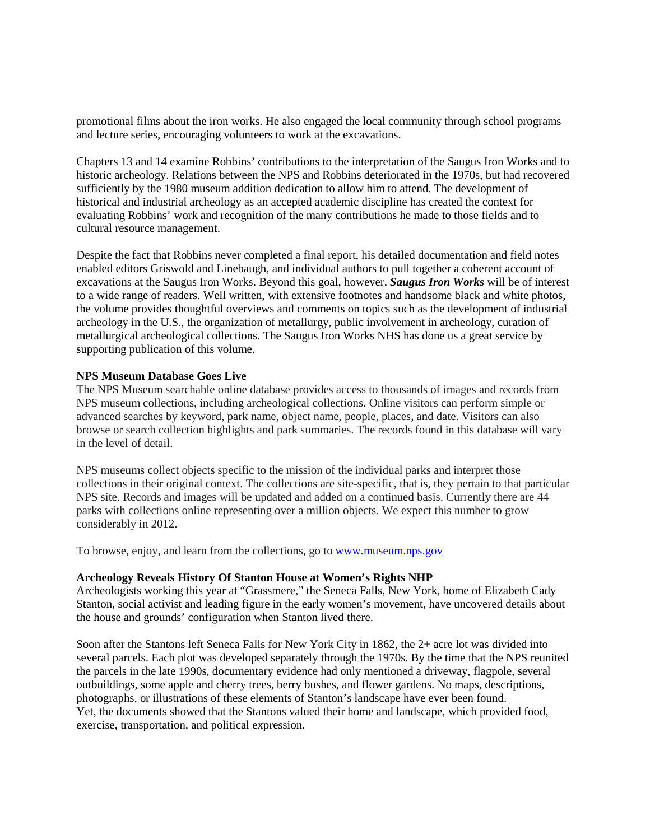promotional films about the iron works. He also engaged the local community through school programs and lecture series, encouraging volunteers to work at the excavations.

Chapters 13 and 14 examine Robbins' contributions to the interpretation of the Saugus Iron Works and to historic archeology. Relations between the NPS and Robbins deteriorated in the 1970s, but had recovered sufficiently by the 1980 museum addition dedication to allow him to attend. The development of historical and industrial archeology as an accepted academic discipline has created the context for evaluating Robbins' work and recognition of the many contributions he made to those fields and to cultural resource management.

Despite the fact that Robbins never completed a final report, his detailed documentation and field notes enabled editors Griswold and Linebaugh, and individual authors to pull together a coherent account of excavations at the Saugus Iron Works. Beyond this goal, however, *Saugus Iron Works* will be of interest to a wide range of readers. Well written, with extensive footnotes and handsome black and white photos, the volume provides thoughtful overviews and comments on topics such as the development of industrial archeology in the U.S., the organization of metallurgy, public involvement in archeology, curation of metallurgical archeological collections. The Saugus Iron Works NHS has done us a great service by supporting publication of this volume.

## **NPS Museum Database Goes Live**

The NPS Museum searchable online database provides access to thousands of images and records from NPS museum collections, including archeological collections. Online visitors can perform simple or advanced searches by keyword, park name, object name, people, places, and date. Visitors can also browse or search collection highlights and park summaries. The records found in this database will vary in the level of detail.

NPS museums collect objects specific to the mission of the individual parks and interpret those collections in their original context. The collections are site-specific, that is, they pertain to that particular NPS site. Records and images will be updated and added on a continued basis. Currently there are 44 parks with collections online representing over a million objects. We expect this number to grow considerably in 2012.

To browse, enjoy, and learn from the collections, go to [www.museum.nps.gov](http://www.museum.nps.gov/)

### **Archeology Reveals History Of Stanton House at Women's Rights NHP**

Archeologists working this year at "Grassmere," the Seneca Falls, New York, home of Elizabeth Cady Stanton, social activist and leading figure in the early women's movement, have uncovered details about the house and grounds' configuration when Stanton lived there.

Soon after the Stantons left Seneca Falls for New York City in 1862, the 2+ acre lot was divided into several parcels. Each plot was developed separately through the 1970s. By the time that the NPS reunited the parcels in the late 1990s, documentary evidence had only mentioned a driveway, flagpole, several outbuildings, some apple and cherry trees, berry bushes, and flower gardens. No maps, descriptions, photographs, or illustrations of these elements of Stanton's landscape have ever been found. Yet, the documents showed that the Stantons valued their home and landscape, which provided food, exercise, transportation, and political expression.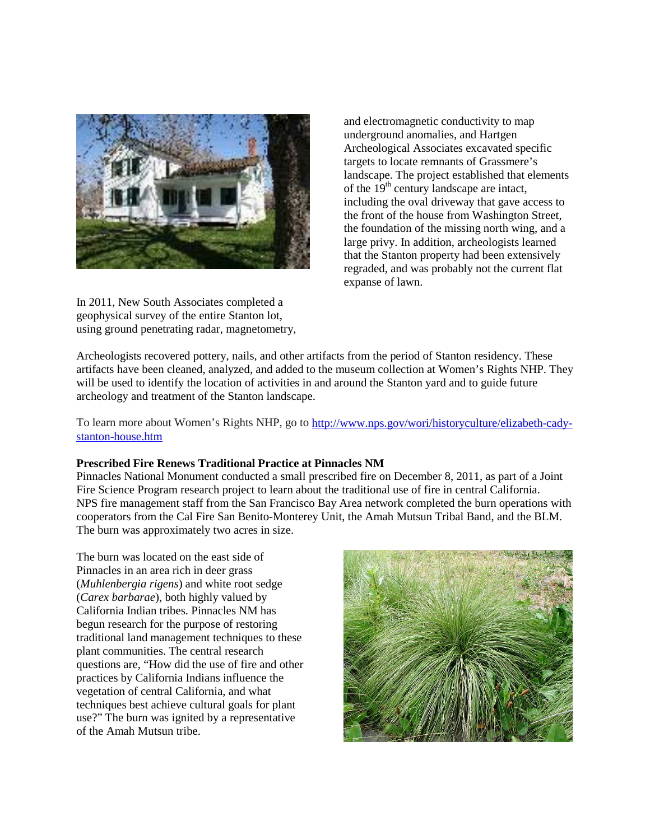

In 2011, New South Associates completed a geophysical survey of the entire Stanton lot, using ground penetrating radar, magnetometry,

and electromagnetic conductivity to map underground anomalies, and Hartgen Archeological Associates excavated specific targets to locate remnants of Grassmere's landscape. The project established that elements of the  $19<sup>th</sup>$  century landscape are intact, including the oval driveway that gave access to the front of the house from Washington Street, the foundation of the missing north wing, and a large privy. In addition, archeologists learned that the Stanton property had been extensively regraded, and was probably not the current flat expanse of lawn.

Archeologists recovered pottery, nails, and other artifacts from the period of Stanton residency. These artifacts have been cleaned, analyzed, and added to the museum collection at Women's Rights NHP. They will be used to identify the location of activities in and around the Stanton yard and to guide future archeology and treatment of the Stanton landscape.

To learn more about Women's Rights NHP, go to [http://www.nps.gov/wori/historyculture/elizabeth-cady](http://www.nps.gov/wori/historyculture/elizabeth-cady-stanton-house.htm)[stanton-house.htm](http://www.nps.gov/wori/historyculture/elizabeth-cady-stanton-house.htm)

# **Prescribed Fire Renews Traditional Practice at Pinnacles NM**

Pinnacles National Monument conducted a small prescribed fire on December 8, 2011, as part of a Joint Fire Science Program research project to learn about the traditional use of fire in central California. NPS fire management staff from the San Francisco Bay Area network completed the burn operations with cooperators from the Cal Fire San Benito-Monterey Unit, the Amah Mutsun Tribal Band, and the BLM. The burn was approximately two acres in size.

The burn was located on the east side of Pinnacles in an area rich in deer grass (*Muhlenbergia rigens*) and white root sedge (*Carex barbarae*), both highly valued by California Indian tribes. Pinnacles NM has begun research for the purpose of restoring traditional land management techniques to these plant communities. The central research questions are, "How did the use of fire and other practices by California Indians influence the vegetation of central California, and what techniques best achieve cultural goals for plant use?" The burn was ignited by a representative of the Amah Mutsun tribe.